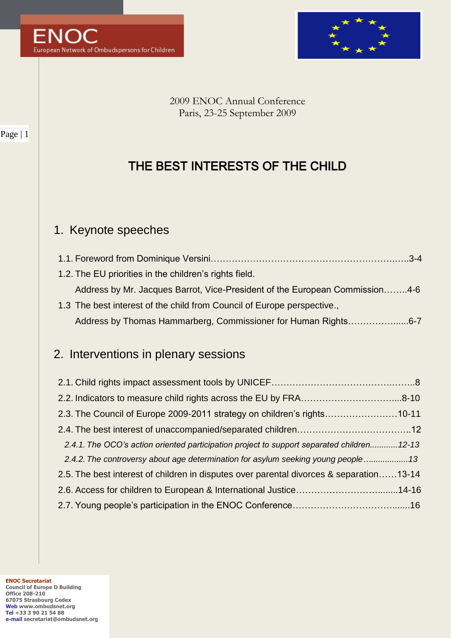



2009 ENOC Annual Conference Paris, 23-25 September 2009

# THE BEST INTERESTS OF THE CHILD

## 1. Keynote speeches

| 1.2. The EU priorities in the children's rights field.                      |  |
|-----------------------------------------------------------------------------|--|
| Address by Mr. Jacques Barrot, Vice-President of the European Commission4-6 |  |
| 1.3 The best interest of the child from Council of Europe perspective.,     |  |
| Address by Thomas Hammarberg, Commissioner for Human Rights6-7              |  |

# 2. Interventions in plenary sessions

| 2.3. The Council of Europe 2009-2011 strategy on children's rights10-11                    |  |  |
|--------------------------------------------------------------------------------------------|--|--|
|                                                                                            |  |  |
| 2.4.1. The OCO's action oriented participation project to support separated children 12-13 |  |  |
| 2.4.2. The controversy about age determination for asylum seeking young people13           |  |  |
| 2.5. The best interest of children in disputes over parental divorces & separation13-14    |  |  |
|                                                                                            |  |  |
|                                                                                            |  |  |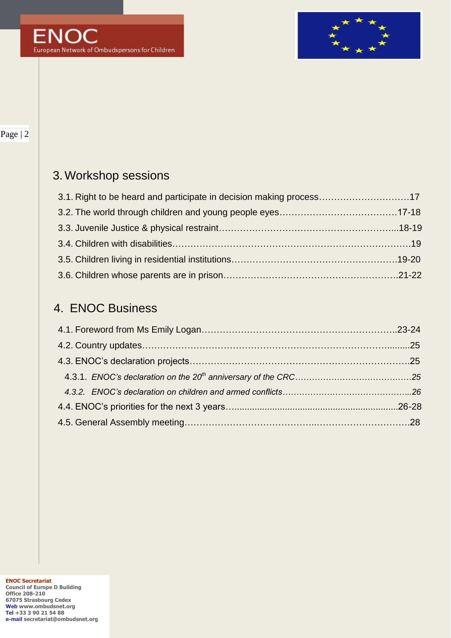

# 3.Workshop sessions

| 3.1. Right to be heard and participate in decision making process17 |  |
|---------------------------------------------------------------------|--|
|                                                                     |  |
|                                                                     |  |
|                                                                     |  |
|                                                                     |  |
|                                                                     |  |

## 4. ENOC Business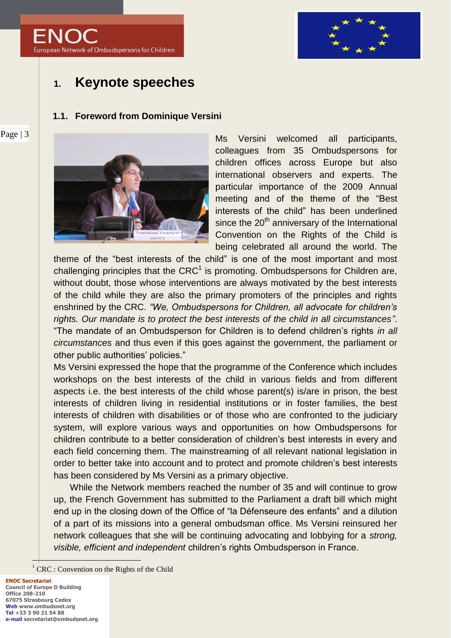



## **1. Keynote speeches**

#### **1.1. Foreword from Dominique Versini**



Ms Versini welcomed all participants, colleagues from 35 Ombudspersons for children offices across Europe but also international observers and experts. The particular importance of the 2009 Annual meeting and of the theme of the "Best interests of the child" has been underlined since the 20<sup>th</sup> anniversary of the International Convention on the Rights of the Child is being celebrated all around the world. The

theme of the "best interests of the child" is one of the most important and most challenging principles that the CRC<sup>1</sup> is promoting. Ombudspersons for Children are, without doubt, those whose interventions are always motivated by the best interests of the child while they are also the primary promoters of the principles and rights enshrined by the CRC. *"We, Ombudspersons for Children, all advocate for children's rights. Our mandate is to protect the best interests of the child in all circumstances".* "The mandate of an Ombudsperson for Children is to defend children"s rights *in all circumstances* and thus even if this goes against the government, the parliament or other public authorities' policies."

Ms Versini expressed the hope that the programme of the Conference which includes workshops on the best interests of the child in various fields and from different aspects i.e. the best interests of the child whose parent(s) is/are in prison, the best interests of children living in residential institutions or in foster families, the best interests of children with disabilities or of those who are confronted to the judiciary system, will explore various ways and opportunities on how Ombudspersons for children contribute to a better consideration of children"s best interests in every and each field concerning them. The mainstreaming of all relevant national legislation in order to better take into account and to protect and promote children"s best interests has been considered by Ms Versini as a primary objective.

While the Network members reached the number of 35 and will continue to grow up, the French Government has submitted to the Parliament a draft bill which might end up in the closing down of the Office of "la Défenseure des enfants" and a dilution of a part of its missions into a general ombudsman office. Ms Versini reinsured her network colleagues that she will be continuing advocating and lobbying for a *strong, visible, efficient and independent* children"s rights Ombudsperson in France.

 $\overline{a}$ 

<sup>&</sup>lt;sup>1</sup> CRC : Convention on the Rights of the Child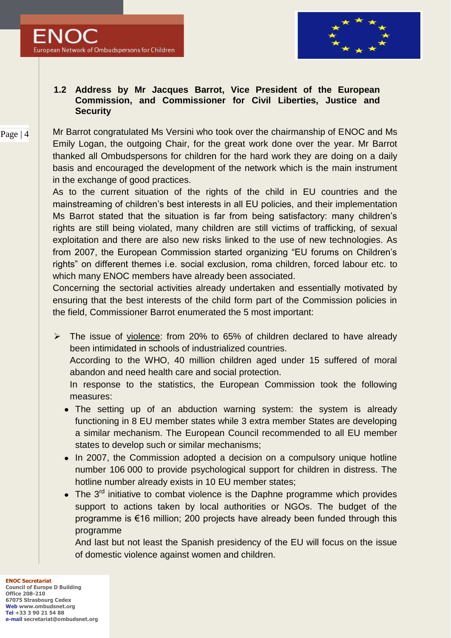

## **1.2 Address by Mr Jacques Barrot, Vice President of the European Commission, and Commissioner for Civil Liberties, Justice and Security**

#### Page | 4 Mr Barrot congratulated Ms Versini who took over the chairmanship of ENOC and Ms Emily Logan, the outgoing Chair, for the great work done over the year. Mr Barrot thanked all Ombudspersons for children for the hard work they are doing on a daily basis and encouraged the development of the network which is the main instrument in the exchange of good practices.

As to the current situation of the rights of the child in EU countries and the mainstreaming of children's best interests in all EU policies, and their implementation Ms Barrot stated that the situation is far from being satisfactory: many children's rights are still being violated, many children are still victims of trafficking, of sexual exploitation and there are also new risks linked to the use of new technologies. As from 2007, the European Commission started organizing "EU forums on Children"s rights" on different themes i.e. social exclusion, roma children, forced labour etc. to which many ENOC members have already been associated.

Concerning the sectorial activities already undertaken and essentially motivated by ensuring that the best interests of the child form part of the Commission policies in the field, Commissioner Barrot enumerated the 5 most important:

 $\triangleright$  The issue of violence: from 20% to 65% of children declared to have already been intimidated in schools of industrialized countries.

According to the WHO, 40 million children aged under 15 suffered of moral abandon and need health care and social protection.

In response to the statistics, the European Commission took the following measures:

- The setting up of an abduction warning system: the system is already functioning in 8 EU member states while 3 extra member States are developing a similar mechanism. The European Council recommended to all EU member states to develop such or similar mechanisms;
- In 2007, the Commission adopted a decision on a compulsory unique hotline number 106 000 to provide psychological support for children in distress. The hotline number already exists in 10 EU member states;
- The  $3^{rd}$  initiative to combat violence is the Daphne programme which provides support to actions taken by local authorities or NGOs. The budget of the programme is €16 million; 200 projects have already been funded through this programme

And last but not least the Spanish presidency of the EU will focus on the issue of domestic violence against women and children.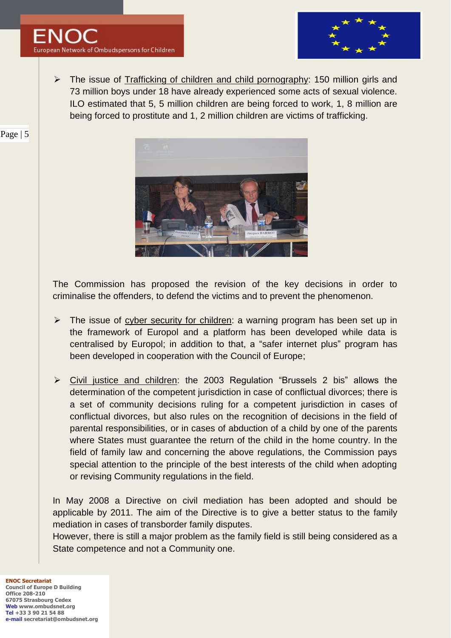

 $\triangleright$  The issue of Trafficking of children and child pornography: 150 million girls and 73 million boys under 18 have already experienced some acts of sexual violence. ILO estimated that 5, 5 million children are being forced to work, 1, 8 million are being forced to prostitute and 1, 2 million children are victims of trafficking.



The Commission has proposed the revision of the key decisions in order to criminalise the offenders, to defend the victims and to prevent the phenomenon.

- $\triangleright$  The issue of cyber security for children: a warning program has been set up in the framework of Europol and a platform has been developed while data is centralised by Europol; in addition to that, a "safer internet plus" program has been developed in cooperation with the Council of Europe;
- Civil justice and children: the 2003 Regulation "Brussels 2 bis" allows the determination of the competent jurisdiction in case of conflictual divorces; there is a set of community decisions ruling for a competent jurisdiction in cases of conflictual divorces, but also rules on the recognition of decisions in the field of parental responsibilities, or in cases of abduction of a child by one of the parents where States must guarantee the return of the child in the home country. In the field of family law and concerning the above regulations, the Commission pays special attention to the principle of the best interests of the child when adopting or revising Community regulations in the field.

In May 2008 a Directive on civil mediation has been adopted and should be applicable by 2011. The aim of the Directive is to give a better status to the family mediation in cases of transborder family disputes.

However, there is still a major problem as the family field is still being considered as a State competence and not a Community one.

**ENOC Secretariat Council of Europe D Building Office 208-210 67075 Strasbourg Cedex Web www.ombudsnet.org Tel +33 3 90 21 54 88 e-mail secretariat@ombudsnet.org**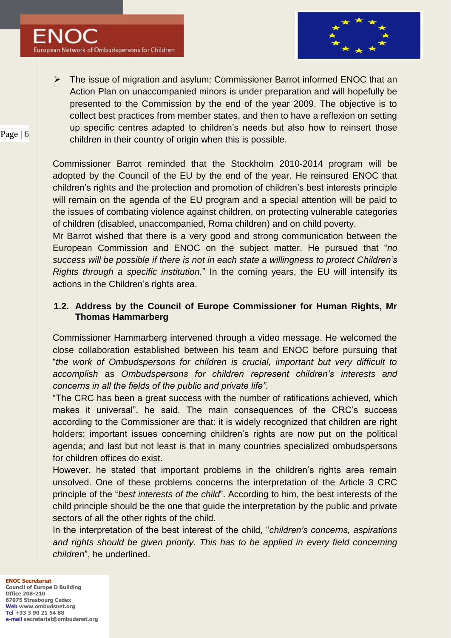

 $\triangleright$  The issue of migration and asylum: Commissioner Barrot informed ENOC that an Action Plan on unaccompanied minors is under preparation and will hopefully be presented to the Commission by the end of the year 2009. The objective is to collect best practices from member states, and then to have a reflexion on setting up specific centres adapted to children"s needs but also how to reinsert those children in their country of origin when this is possible.

Commissioner Barrot reminded that the Stockholm 2010-2014 program will be adopted by the Council of the EU by the end of the year. He reinsured ENOC that children"s rights and the protection and promotion of children"s best interests principle will remain on the agenda of the EU program and a special attention will be paid to the issues of combating violence against children, on protecting vulnerable categories of children (disabled, unaccompanied, Roma children) and on child poverty.

Mr Barrot wished that there is a very good and strong communication between the European Commission and ENOC on the subject matter. He pursued that "*no success will be possible if there is not in each state a willingness to protect Children's Rights through a specific institution.*" In the coming years, the EU will intensify its actions in the Children's rights area.

## **1.2. Address by the Council of Europe Commissioner for Human Rights, Mr Thomas Hammarberg**

Commissioner Hammarberg intervened through a video message. He welcomed the close collaboration established between his team and ENOC before pursuing that "*the work of Ombudspersons for children is crucial, important but very difficult to accomplish* as *Ombudspersons for children represent children's interests and concerns in all the fields of the public and private life".*

"The CRC has been a great success with the number of ratifications achieved, which makes it universal", he said. The main consequences of the CRC"s success according to the Commissioner are that: it is widely recognized that children are right holders; important issues concerning children's rights are now put on the political agenda; and last but not least is that in many countries specialized ombudspersons for children offices do exist.

However, he stated that important problems in the children's rights area remain unsolved. One of these problems concerns the interpretation of the Article 3 CRC principle of the "*best interests of the child*". According to him, the best interests of the child principle should be the one that guide the interpretation by the public and private sectors of all the other rights of the child.

In the interpretation of the best interest of the child, "*children's concerns, aspirations*  and rights should be given priority. This has to be applied in every field concerning *children*", he underlined.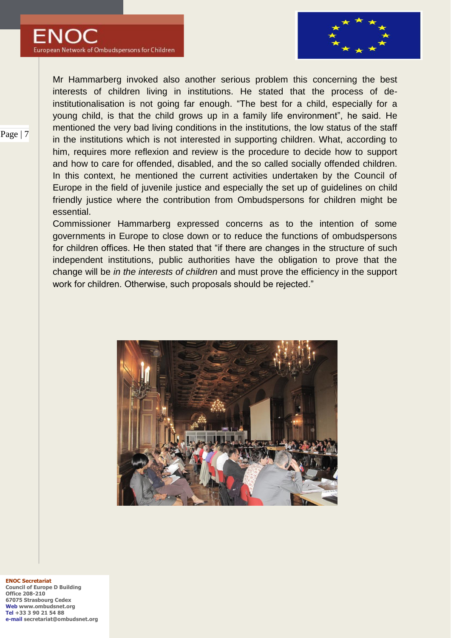

Mr Hammarberg invoked also another serious problem this concerning the best interests of children living in institutions. He stated that the process of deinstitutionalisation is not going far enough. "The best for a child, especially for a young child, is that the child grows up in a family life environment", he said. He mentioned the very bad living conditions in the institutions, the low status of the staff in the institutions which is not interested in supporting children. What, according to him, requires more reflexion and review is the procedure to decide how to support and how to care for offended, disabled, and the so called socially offended children. In this context, he mentioned the current activities undertaken by the Council of Europe in the field of juvenile justice and especially the set up of guidelines on child friendly justice where the contribution from Ombudspersons for children might be essential.

Commissioner Hammarberg expressed concerns as to the intention of some governments in Europe to close down or to reduce the functions of ombudspersons for children offices. He then stated that "if there are changes in the structure of such independent institutions, public authorities have the obligation to prove that the change will be *in the interests of children* and must prove the efficiency in the support work for children. Otherwise, such proposals should be rejected."



**ENOC Secretariat Council of Europe D Building Office 208-210 67075 Strasbourg Cedex Web www.ombudsnet.org Tel +33 3 90 21 54 88 e-mail secretariat@ombudsnet.org**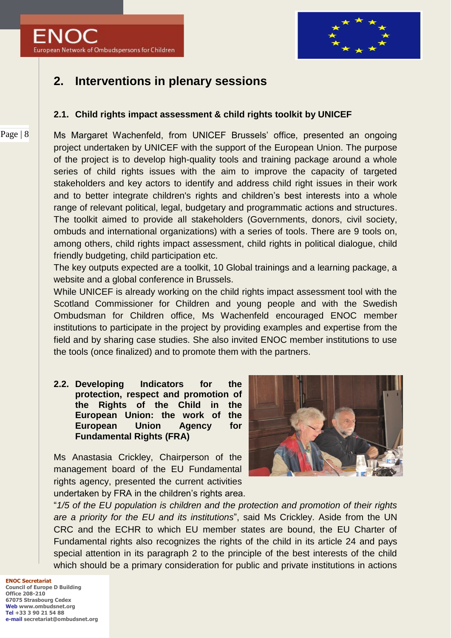

# **2. Interventions in plenary sessions**

## **2.1. Child rights impact assessment & child rights toolkit by UNICEF**

Ms Margaret Wachenfeld, from UNICEF Brussels" office, presented an ongoing project undertaken by UNICEF with the support of the European Union. The purpose of the project is to develop high-quality tools and training package around a whole series of child rights issues with the aim to improve the capacity of targeted stakeholders and key actors to identify and address child right issues in their work and to better integrate children's rights and children"s best interests into a whole range of relevant political, legal, budgetary and programmatic actions and structures. The toolkit aimed to provide all stakeholders (Governments, donors, civil society, ombuds and international organizations) with a series of tools. There are 9 tools on, among others, child rights impact assessment, child rights in political dialogue, child friendly budgeting, child participation etc.

The key outputs expected are a toolkit, 10 Global trainings and a learning package, a website and a global conference in Brussels.

While UNICEF is already working on the child rights impact assessment tool with the Scotland Commissioner for Children and young people and with the Swedish Ombudsman for Children office, Ms Wachenfeld encouraged ENOC member institutions to participate in the project by providing examples and expertise from the field and by sharing case studies. She also invited ENOC member institutions to use the tools (once finalized) and to promote them with the partners.

**2.2. Developing Indicators for the protection, respect and promotion of the Rights of the Child in the European Union: the work of the European Union Agency for Fundamental Rights (FRA)**

Ms Anastasia Crickley, Chairperson of the management board of the EU Fundamental rights agency, presented the current activities undertaken by FRA in the children's rights area.



"*1/5 of the EU population is children and the protection and promotion of their rights are a priority for the EU and its institutions*", said Ms Crickley. Aside from the UN CRC and the ECHR to which EU member states are bound, the EU Charter of Fundamental rights also recognizes the rights of the child in its article 24 and pays special attention in its paragraph 2 to the principle of the best interests of the child which should be a primary consideration for public and private institutions in actions

**ENOC Secretariat Council of Europe D Building Office 208-210 67075 Strasbourg Cedex Web www.ombudsnet.org Tel +33 3 90 21 54 88 e-mail secretariat@ombudsnet.org**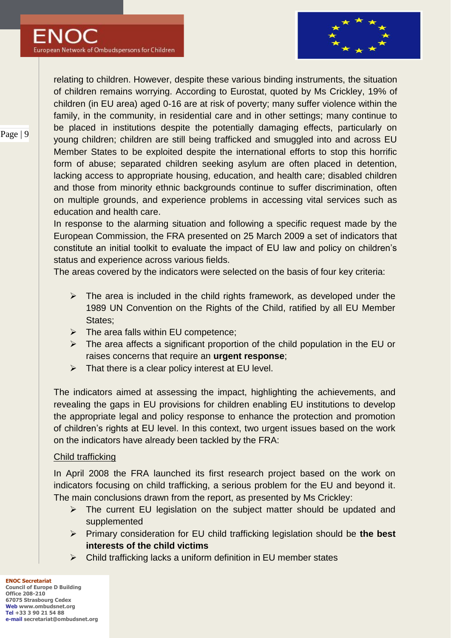

relating to children. However, despite these various binding instruments, the situation of children remains worrying. According to Eurostat, quoted by Ms Crickley, 19% of children (in EU area) aged 0-16 are at risk of poverty; many suffer violence within the family, in the community, in residential care and in other settings; many continue to be placed in institutions despite the potentially damaging effects, particularly on young children; children are still being trafficked and smuggled into and across EU Member States to be exploited despite the international efforts to stop this horrific form of abuse; separated children seeking asylum are often placed in detention, lacking access to appropriate housing, education, and health care; disabled children and those from minority ethnic backgrounds continue to suffer discrimination, often on multiple grounds, and experience problems in accessing vital services such as education and health care.

In response to the alarming situation and following a specific request made by the European Commission, the FRA presented on 25 March 2009 a set of indicators that constitute an initial toolkit to evaluate the impact of EU law and policy on children's status and experience across various fields.

The areas covered by the indicators were selected on the basis of four key criteria:

- $\triangleright$  The area is included in the child rights framework, as developed under the 1989 UN Convention on the Rights of the Child, ratified by all EU Member States;
- $\triangleright$  The area falls within EU competence;
- $\triangleright$  The area affects a significant proportion of the child population in the EU or raises concerns that require an **urgent response**;
- $\triangleright$  That there is a clear policy interest at EU level.

The indicators aimed at assessing the impact, highlighting the achievements, and revealing the gaps in EU provisions for children enabling EU institutions to develop the appropriate legal and policy response to enhance the protection and promotion of children"s rights at EU level. In this context, two urgent issues based on the work on the indicators have already been tackled by the FRA:

### Child trafficking

In April 2008 the FRA launched its first research project based on the work on indicators focusing on child trafficking, a serious problem for the EU and beyond it. The main conclusions drawn from the report, as presented by Ms Crickley:

- $\triangleright$  The current EU legislation on the subject matter should be updated and supplemented
- Primary consideration for EU child trafficking legislation should be **the best interests of the child victims**
- $\triangleright$  Child trafficking lacks a uniform definition in EU member states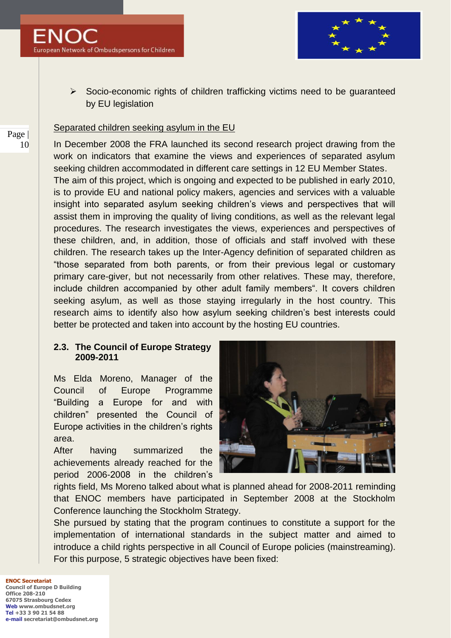

 $\triangleright$  Socio-economic rights of children trafficking victims need to be guaranteed by EU legislation

#### Separated children seeking asylum in the EU

In December 2008 the FRA launched its second research project drawing from the work on indicators that examine the views and experiences of separated asylum seeking children accommodated in different care settings in 12 EU Member States. The aim of this project, which is ongoing and expected to be published in early 2010, is to provide EU and national policy makers, agencies and services with a valuable insight into separated asylum seeking children's views and perspectives that will assist them in improving the quality of living conditions, as well as the relevant legal procedures. The research investigates the views, experiences and perspectives of these children, and, in addition, those of officials and staff involved with these children. The research takes up the Inter-Agency definition of separated children as "those separated from both parents, or from their previous legal or customary primary care-giver, but not necessarily from other relatives. These may, therefore, include children accompanied by other adult family members". It covers children seeking asylum, as well as those staying irregularly in the host country. This research aims to identify also how asylum seeking children"s best interests could better be protected and taken into account by the hosting EU countries.

#### **2.3. The Council of Europe Strategy 2009-2011**

Ms Elda Moreno, Manager of the Council of Europe Programme "Building a Europe for and with children" presented the Council of Europe activities in the children's rights area.

After having summarized the achievements already reached for the period 2006-2008 in the children"s



rights field, Ms Moreno talked about what is planned ahead for 2008-2011 reminding that ENOC members have participated in September 2008 at the Stockholm Conference launching the Stockholm Strategy.

She pursued by stating that the program continues to constitute a support for the implementation of international standards in the subject matter and aimed to introduce a child rights perspective in all Council of Europe policies (mainstreaming). For this purpose, 5 strategic objectives have been fixed:

**ENOC Secretariat Council of Europe D Building Office 208-210 67075 Strasbourg Cedex Web www.ombudsnet.org Tel +33 3 90 21 54 88 e-mail secretariat@ombudsnet.org**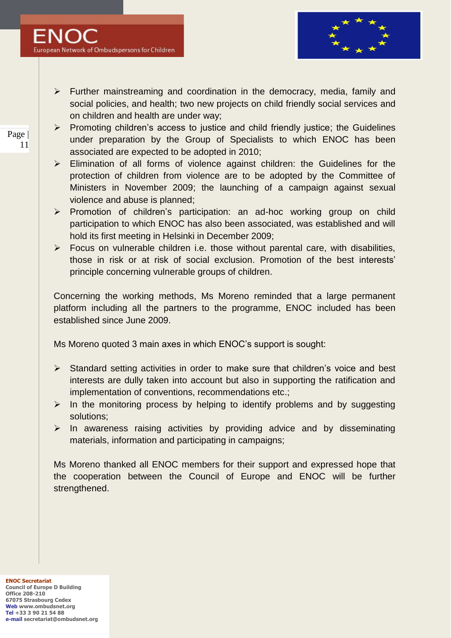

- $\triangleright$  Further mainstreaming and coordination in the democracy, media, family and social policies, and health; two new projects on child friendly social services and on children and health are under way;
- $\triangleright$  Promoting children's access to justice and child friendly justice; the Guidelines under preparation by the Group of Specialists to which ENOC has been associated are expected to be adopted in 2010;
- $\triangleright$  Elimination of all forms of violence against children: the Guidelines for the protection of children from violence are to be adopted by the Committee of Ministers in November 2009; the launching of a campaign against sexual violence and abuse is planned;
- > Promotion of children's participation: an ad-hoc working group on child participation to which ENOC has also been associated, was established and will hold its first meeting in Helsinki in December 2009;
- $\triangleright$  Focus on vulnerable children i.e. those without parental care, with disabilities, those in risk or at risk of social exclusion. Promotion of the best interests" principle concerning vulnerable groups of children.

Concerning the working methods, Ms Moreno reminded that a large permanent platform including all the partners to the programme, ENOC included has been established since June 2009.

Ms Moreno quoted 3 main axes in which ENOC"s support is sought:

- $\triangleright$  Standard setting activities in order to make sure that children's voice and best interests are dully taken into account but also in supporting the ratification and implementation of conventions, recommendations etc.;
- $\triangleright$  In the monitoring process by helping to identify problems and by suggesting solutions;
- $\triangleright$  In awareness raising activities by providing advice and by disseminating materials, information and participating in campaigns;

Ms Moreno thanked all ENOC members for their support and expressed hope that the cooperation between the Council of Europe and ENOC will be further strengthened.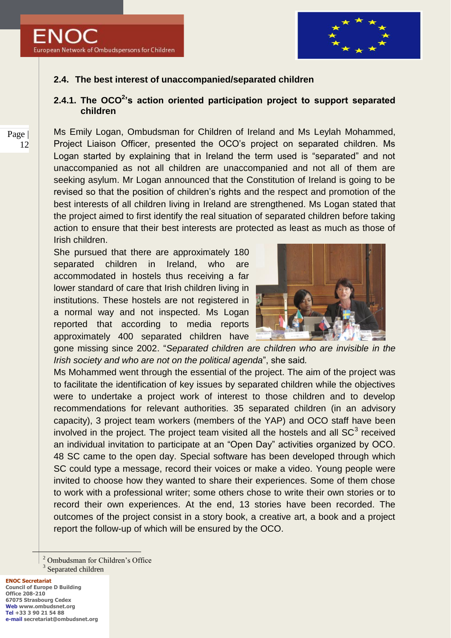

## **2.4. The best interest of unaccompanied/separated children**

## **2.4.1. The OCO<sup>2</sup> 's action oriented participation project to support separated children**

Ms Emily Logan, Ombudsman for Children of Ireland and Ms Leylah Mohammed, Project Liaison Officer, presented the OCO"s project on separated children. Ms Logan started by explaining that in Ireland the term used is "separated" and not unaccompanied as not all children are unaccompanied and not all of them are seeking asylum. Mr Logan announced that the Constitution of Ireland is going to be revised so that the position of children"s rights and the respect and promotion of the best interests of all children living in Ireland are strengthened. Ms Logan stated that the project aimed to first identify the real situation of separated children before taking action to ensure that their best interests are protected as least as much as those of Irish children.

She pursued that there are approximately 180 separated children in Ireland, who are accommodated in hostels thus receiving a far lower standard of care that Irish children living in institutions. These hostels are not registered in a normal way and not inspected. Ms Logan reported that according to media reports approximately 400 separated children have



gone missing since 2002. "*Separated children are children who are invisible in the Irish society and who are not on the political agenda*", she said*.*

Ms Mohammed went through the essential of the project. The aim of the project was to facilitate the identification of key issues by separated children while the objectives were to undertake a project work of interest to those children and to develop recommendations for relevant authorities. 35 separated children (in an advisory capacity), 3 project team workers (members of the YAP) and OCO staff have been involved in the project. The project team visited all the hostels and all SC<sup>3</sup> received an individual invitation to participate at an "Open Day" activities organized by OCO. 48 SC came to the open day. Special software has been developed through which SC could type a message, record their voices or make a video. Young people were invited to choose how they wanted to share their experiences. Some of them chose to work with a professional writer; some others chose to write their own stories or to record their own experiences. At the end, 13 stories have been recorded. The outcomes of the project consist in a story book, a creative art, a book and a project report the follow-up of which will be ensured by the OCO.

<sup>2</sup> Ombudsman for Children's Office

<sup>3</sup> Separated children

 $\overline{a}$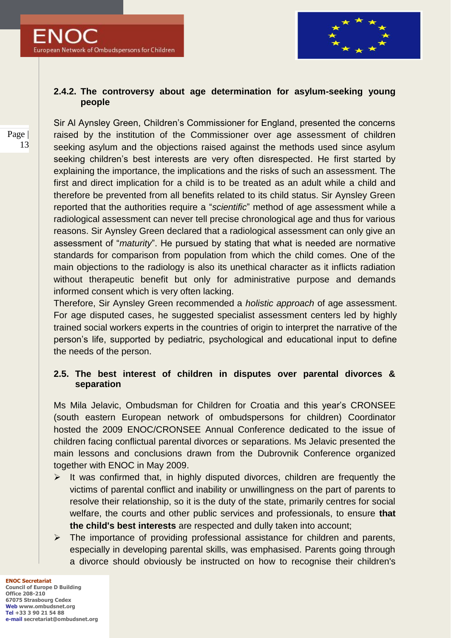

#### **2.4.2. The controversy about age determination for asylum-seeking young people**

Sir Al Aynsley Green, Children"s Commissioner for England, presented the concerns raised by the institution of the Commissioner over age assessment of children seeking asylum and the objections raised against the methods used since asylum seeking children's best interests are very often disrespected. He first started by explaining the importance, the implications and the risks of such an assessment. The first and direct implication for a child is to be treated as an adult while a child and therefore be prevented from all benefits related to its child status. Sir Aynsley Green reported that the authorities require a "*scientific*" method of age assessment while a radiological assessment can never tell precise chronological age and thus for various reasons. Sir Aynsley Green declared that a radiological assessment can only give an assessment of "*maturity*". He pursued by stating that what is needed are normative standards for comparison from population from which the child comes. One of the main objections to the radiology is also its unethical character as it inflicts radiation without therapeutic benefit but only for administrative purpose and demands informed consent which is very often lacking.

Therefore, Sir Aynsley Green recommended a *holistic approach* of age assessment. For age disputed cases, he suggested specialist assessment centers led by highly trained social workers experts in the countries of origin to interpret the narrative of the person"s life, supported by pediatric, psychological and educational input to define the needs of the person.

## **2.5. The best interest of children in disputes over parental divorces & separation**

Ms Mila Jelavic, Ombudsman for Children for Croatia and this year"s CRONSEE (south eastern European network of ombudspersons for children) Coordinator hosted the 2009 ENOC/CRONSEE Annual Conference dedicated to the issue of children facing conflictual parental divorces or separations. Ms Jelavic presented the main lessons and conclusions drawn from the Dubrovnik Conference organized together with ENOC in May 2009.

- $\triangleright$  It was confirmed that, in highly disputed divorces, children are frequently the victims of parental conflict and inability or unwillingness on the part of parents to resolve their relationship, so it is the duty of the state, primarily centres for social welfare, the courts and other public services and professionals, to ensure **that the child's best interests** are respected and dully taken into account;
- $\triangleright$  The importance of providing professional assistance for children and parents, especially in developing parental skills, was emphasised. Parents going through a divorce should obviously be instructed on how to recognise their children's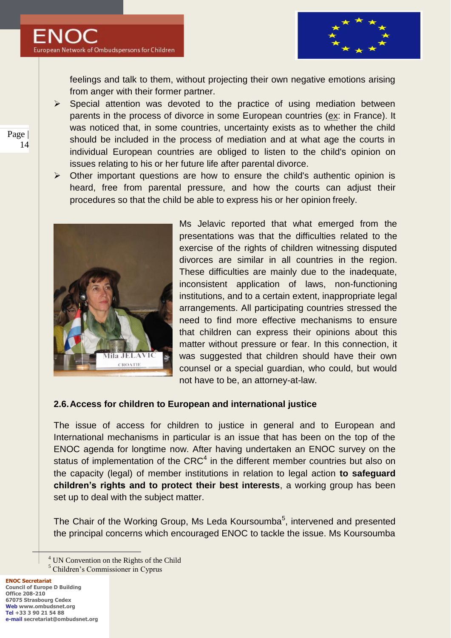

feelings and talk to them, without projecting their own negative emotions arising from anger with their former partner.

- $\triangleright$  Special attention was devoted to the practice of using mediation between parents in the process of divorce in some European countries (ex: in France). It was noticed that, in some countries, uncertainty exists as to whether the child should be included in the process of mediation and at what age the courts in individual European countries are obliged to listen to the child's opinion on issues relating to his or her future life after parental divorce.
- $\triangleright$  Other important questions are how to ensure the child's authentic opinion is heard, free from parental pressure, and how the courts can adjust their procedures so that the child be able to express his or her opinion freely.



Ms Jelavic reported that what emerged from the presentations was that the difficulties related to the exercise of the rights of children witnessing disputed divorces are similar in all countries in the region. These difficulties are mainly due to the inadequate, inconsistent application of laws, non-functioning institutions, and to a certain extent, inappropriate legal arrangements. All participating countries stressed the need to find more effective mechanisms to ensure that children can express their opinions about this matter without pressure or fear. In this connection, it was suggested that children should have their own counsel or a special guardian, who could, but would not have to be, an attorney-at-law.

### **2.6.Access for children to European and international justice**

The issue of access for children to justice in general and to European and International mechanisms in particular is an issue that has been on the top of the ENOC agenda for longtime now. After having undertaken an ENOC survey on the status of implementation of the CRC<sup>4</sup> in the different member countries but also on the capacity (legal) of member institutions in relation to legal action **to safeguard children's rights and to protect their best interests**, a working group has been set up to deal with the subject matter.

The Chair of the Working Group, Ms Leda Koursoumba<sup>5</sup>, intervened and presented the principal concerns which encouraged ENOC to tackle the issue. Ms Koursoumba

<sup>4</sup> UN Convention on the Rights of the Child

<sup>5</sup> Children's Commissioner in Cyprus

 $\overline{a}$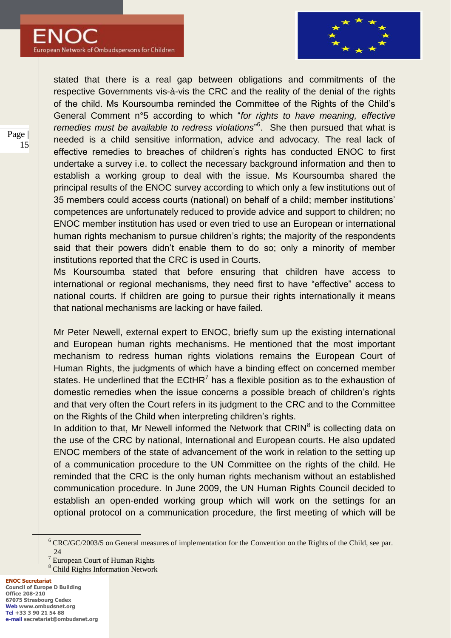

stated that there is a real gap between obligations and commitments of the respective Governments vis-à-vis the CRC and the reality of the denial of the rights of the child. Ms Koursoumba reminded the Committee of the Rights of the Child"s General Comment n°5 according to which "*for rights to have meaning, effective remedies must be available to redress violations*" 6 . She then pursued that what is needed is a child sensitive information, advice and advocacy. The real lack of effective remedies to breaches of children"s rights has conducted ENOC to first undertake a survey i.e. to collect the necessary background information and then to establish a working group to deal with the issue. Ms Koursoumba shared the principal results of the ENOC survey according to which only a few institutions out of 35 members could access courts (national) on behalf of a child; member institutions" competences are unfortunately reduced to provide advice and support to children; no ENOC member institution has used or even tried to use an European or international human rights mechanism to pursue children's rights; the majority of the respondents said that their powers didn"t enable them to do so; only a minority of member institutions reported that the CRC is used in Courts.

Ms Koursoumba stated that before ensuring that children have access to international or regional mechanisms, they need first to have "effective" access to national courts. If children are going to pursue their rights internationally it means that national mechanisms are lacking or have failed.

Mr Peter Newell, external expert to ENOC, briefly sum up the existing international and European human rights mechanisms. He mentioned that the most important mechanism to redress human rights violations remains the European Court of Human Rights, the judgments of which have a binding effect on concerned member states. He underlined that the  $ECHR<sup>7</sup>$  has a flexible position as to the exhaustion of domestic remedies when the issue concerns a possible breach of children"s rights and that very often the Court refers in its judgment to the CRC and to the Committee on the Rights of the Child when interpreting children"s rights.

In addition to that, Mr Newell informed the Network that CRIN<sup>8</sup> is collecting data on the use of the CRC by national, International and European courts. He also updated ENOC members of the state of advancement of the work in relation to the setting up of a communication procedure to the UN Committee on the rights of the child. He reminded that the CRC is the only human rights mechanism without an established communication procedure. In June 2009, the UN Human Rights Council decided to establish an open-ended working group which will work on the settings for an optional protocol on a communication procedure, the first meeting of which will be

**ENOC Secretariat Council of Europe D Building Office 208-210 67075 Strasbourg Cedex Web www.ombudsnet.org Tel +33 3 90 21 54 88 e-mail secretariat@ombudsnet.org**

 $\overline{a}$ 

<sup>&</sup>lt;sup>6</sup> CRC/GC/2003/5 on General measures of implementation for the Convention on the Rights of the Child, see par. 24

<sup>7</sup> European Court of Human Rights

<sup>8</sup> Child Rights Information Network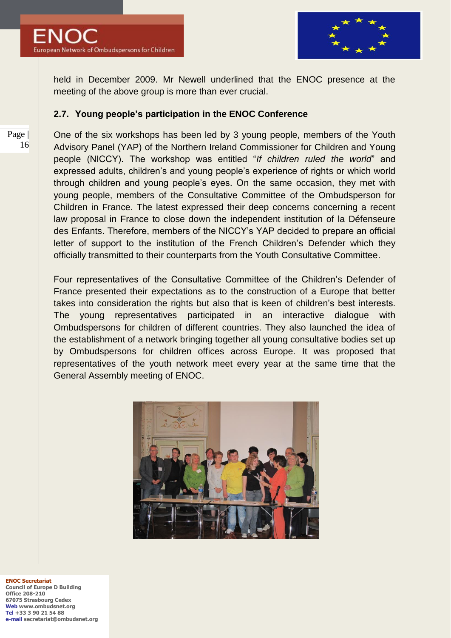



held in December 2009. Mr Newell underlined that the ENOC presence at the meeting of the above group is more than ever crucial.

#### **2.7. Young people's participation in the ENOC Conference**

One of the six workshops has been led by 3 young people, members of the Youth Advisory Panel (YAP) of the Northern Ireland Commissioner for Children and Young people (NICCY). The workshop was entitled "*If children ruled the world*" and expressed adults, children's and young people's experience of rights or which world through children and young people"s eyes. On the same occasion, they met with young people, members of the Consultative Committee of the Ombudsperson for Children in France. The latest expressed their deep concerns concerning a recent law proposal in France to close down the independent institution of la Défenseure des Enfants. Therefore, members of the NICCY"s YAP decided to prepare an official letter of support to the institution of the French Children"s Defender which they officially transmitted to their counterparts from the Youth Consultative Committee.

Four representatives of the Consultative Committee of the Children"s Defender of France presented their expectations as to the construction of a Europe that better takes into consideration the rights but also that is keen of children"s best interests. The young representatives participated in an interactive dialogue with Ombudspersons for children of different countries. They also launched the idea of the establishment of a network bringing together all young consultative bodies set up by Ombudspersons for children offices across Europe. It was proposed that representatives of the youth network meet every year at the same time that the General Assembly meeting of ENOC.



**ENOC Secretariat Council of Europe D Building Office 208-210 67075 Strasbourg Cedex Web www.ombudsnet.org Tel +33 3 90 21 54 88 e-mail secretariat@ombudsnet.org**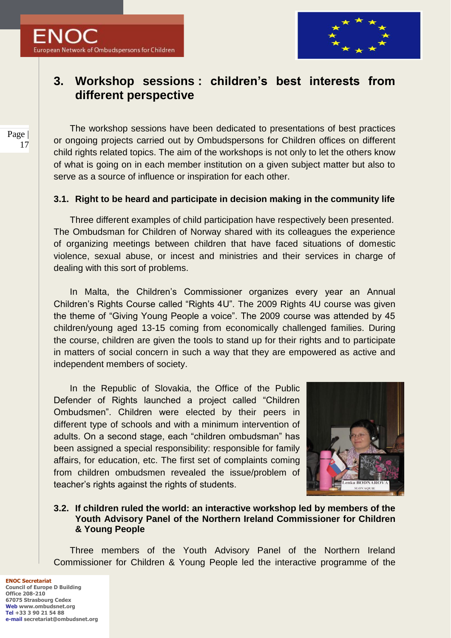

## **3. Workshop sessions : children's best interests from different perspective**

The workshop sessions have been dedicated to presentations of best practices or ongoing projects carried out by Ombudspersons for Children offices on different child rights related topics. The aim of the workshops is not only to let the others know of what is going on in each member institution on a given subject matter but also to serve as a source of influence or inspiration for each other.

## **3.1. Right to be heard and participate in decision making in the community life**

Three different examples of child participation have respectively been presented. The Ombudsman for Children of Norway shared with its colleagues the experience of organizing meetings between children that have faced situations of domestic violence, sexual abuse, or incest and ministries and their services in charge of dealing with this sort of problems.

In Malta, the Children's Commissioner organizes every year an Annual Children"s Rights Course called "Rights 4U". The 2009 Rights 4U course was given the theme of "Giving Young People a voice". The 2009 course was attended by 45 children/young aged 13-15 coming from economically challenged families. During the course, children are given the tools to stand up for their rights and to participate in matters of social concern in such a way that they are empowered as active and independent members of society.

In the Republic of Slovakia, the Office of the Public Defender of Rights launched a project called "Children Ombudsmen". Children were elected by their peers in different type of schools and with a minimum intervention of adults. On a second stage, each "children ombudsman" has been assigned a special responsibility: responsible for family affairs, for education, etc. The first set of complaints coming from children ombudsmen revealed the issue/problem of teacher"s rights against the rights of students.



### **3.2. If children ruled the world: an interactive workshop led by members of the Youth Advisory Panel of the Northern Ireland Commissioner for Children & Young People**

Three members of the Youth Advisory Panel of the Northern Ireland Commissioner for Children & Young People led the interactive programme of the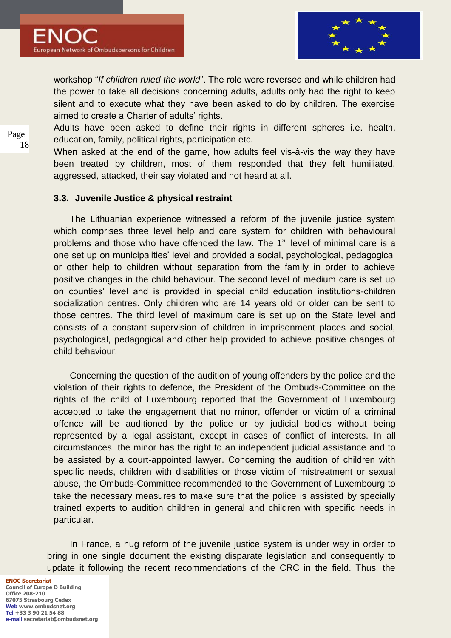

workshop "*If children ruled the world*". The role were reversed and while children had the power to take all decisions concerning adults, adults only had the right to keep silent and to execute what they have been asked to do by children. The exercise aimed to create a Charter of adults' rights.

Adults have been asked to define their rights in different spheres i.e. health, education, family, political rights, participation etc.

When asked at the end of the game, how adults feel vis-à-vis the way they have been treated by children, most of them responded that they felt humiliated, aggressed, attacked, their say violated and not heard at all.

#### **3.3. Juvenile Justice & physical restraint**

The Lithuanian experience witnessed a reform of the juvenile justice system which comprises three level help and care system for children with behavioural problems and those who have offended the law. The  $1<sup>st</sup>$  level of minimal care is a one set up on municipalities" level and provided a social, psychological, pedagogical or other help to children without separation from the family in order to achieve positive changes in the child behaviour. The second level of medium care is set up on counties" level and is provided in special child education institutions-children socialization centres. Only children who are 14 years old or older can be sent to those centres. The third level of maximum care is set up on the State level and consists of a constant supervision of children in imprisonment places and social, psychological, pedagogical and other help provided to achieve positive changes of child behaviour.

Concerning the question of the audition of young offenders by the police and the violation of their rights to defence, the President of the Ombuds-Committee on the rights of the child of Luxembourg reported that the Government of Luxembourg accepted to take the engagement that no minor, offender or victim of a criminal offence will be auditioned by the police or by judicial bodies without being represented by a legal assistant, except in cases of conflict of interests. In all circumstances, the minor has the right to an independent judicial assistance and to be assisted by a court-appointed lawyer. Concerning the audition of children with specific needs, children with disabilities or those victim of mistreatment or sexual abuse, the Ombuds-Committee recommended to the Government of Luxembourg to take the necessary measures to make sure that the police is assisted by specially trained experts to audition children in general and children with specific needs in particular.

In France, a hug reform of the juvenile justice system is under way in order to bring in one single document the existing disparate legislation and consequently to update it following the recent recommendations of the CRC in the field. Thus, the

**ENOC Secretariat Council of Europe D Building Office 208-210 67075 Strasbourg Cedex Web www.ombudsnet.org Tel +33 3 90 21 54 88 e-mail secretariat@ombudsnet.org**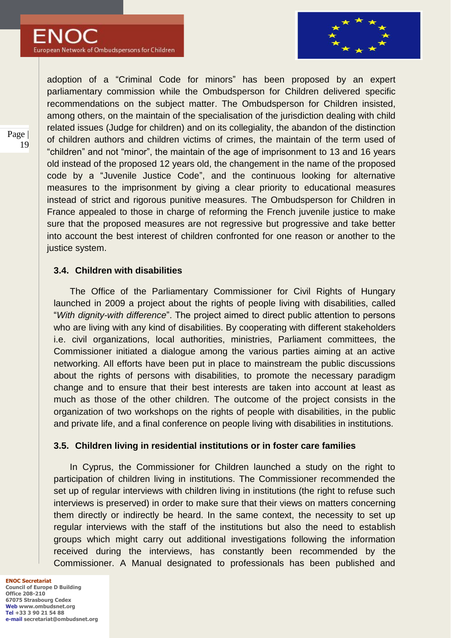

adoption of a "Criminal Code for minors" has been proposed by an expert parliamentary commission while the Ombudsperson for Children delivered specific recommendations on the subject matter. The Ombudsperson for Children insisted, among others, on the maintain of the specialisation of the jurisdiction dealing with child related issues (Judge for children) and on its collegiality, the abandon of the distinction of children authors and children victims of crimes, the maintain of the term used of "children" and not "minor", the maintain of the age of imprisonment to 13 and 16 years old instead of the proposed 12 years old, the changement in the name of the proposed code by a "Juvenile Justice Code", and the continuous looking for alternative measures to the imprisonment by giving a clear priority to educational measures instead of strict and rigorous punitive measures. The Ombudsperson for Children in France appealed to those in charge of reforming the French juvenile justice to make sure that the proposed measures are not regressive but progressive and take better into account the best interest of children confronted for one reason or another to the justice system.

### **3.4. Children with disabilities**

The Office of the Parliamentary Commissioner for Civil Rights of Hungary launched in 2009 a project about the rights of people living with disabilities, called "*With dignity-with difference*". The project aimed to direct public attention to persons who are living with any kind of disabilities. By cooperating with different stakeholders i.e. civil organizations, local authorities, ministries, Parliament committees, the Commissioner initiated a dialogue among the various parties aiming at an active networking. All efforts have been put in place to mainstream the public discussions about the rights of persons with disabilities, to promote the necessary paradigm change and to ensure that their best interests are taken into account at least as much as those of the other children. The outcome of the project consists in the organization of two workshops on the rights of people with disabilities, in the public and private life, and a final conference on people living with disabilities in institutions.

### **3.5. Children living in residential institutions or in foster care families**

In Cyprus, the Commissioner for Children launched a study on the right to participation of children living in institutions. The Commissioner recommended the set up of regular interviews with children living in institutions (the right to refuse such interviews is preserved) in order to make sure that their views on matters concerning them directly or indirectly be heard. In the same context, the necessity to set up regular interviews with the staff of the institutions but also the need to establish groups which might carry out additional investigations following the information received during the interviews, has constantly been recommended by the Commissioner. A Manual designated to professionals has been published and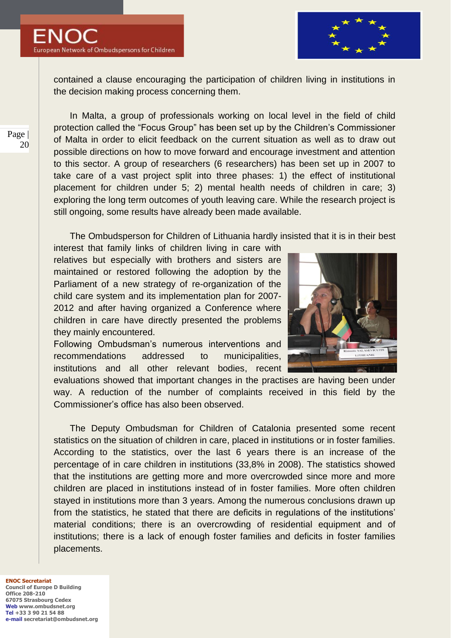

contained a clause encouraging the participation of children living in institutions in the decision making process concerning them.

In Malta, a group of professionals working on local level in the field of child protection called the "Focus Group" has been set up by the Children"s Commissioner of Malta in order to elicit feedback on the current situation as well as to draw out possible directions on how to move forward and encourage investment and attention to this sector. A group of researchers (6 researchers) has been set up in 2007 to take care of a vast project split into three phases: 1) the effect of institutional placement for children under 5; 2) mental health needs of children in care; 3) exploring the long term outcomes of youth leaving care. While the research project is still ongoing, some results have already been made available.

The Ombudsperson for Children of Lithuania hardly insisted that it is in their best

interest that family links of children living in care with relatives but especially with brothers and sisters are maintained or restored following the adoption by the Parliament of a new strategy of re-organization of the child care system and its implementation plan for 2007- 2012 and after having organized a Conference where children in care have directly presented the problems they mainly encountered.

Following Ombudsman"s numerous interventions and recommendations addressed to municipalities, institutions and all other relevant bodies, recent



evaluations showed that important changes in the practises are having been under way. A reduction of the number of complaints received in this field by the Commissioner"s office has also been observed.

The Deputy Ombudsman for Children of Catalonia presented some recent statistics on the situation of children in care, placed in institutions or in foster families. According to the statistics, over the last 6 years there is an increase of the percentage of in care children in institutions (33,8% in 2008). The statistics showed that the institutions are getting more and more overcrowded since more and more children are placed in institutions instead of in foster families. More often children stayed in institutions more than 3 years. Among the numerous conclusions drawn up from the statistics, he stated that there are deficits in regulations of the institutions" material conditions; there is an overcrowding of residential equipment and of institutions; there is a lack of enough foster families and deficits in foster families placements.

**ENOC Secretariat Council of Europe D Building Office 208-210 67075 Strasbourg Cedex Web www.ombudsnet.org Tel +33 3 90 21 54 88 e-mail secretariat@ombudsnet.org**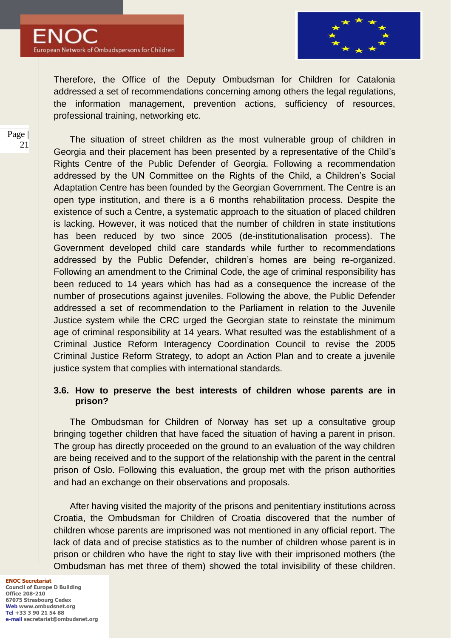



Therefore, the Office of the Deputy Ombudsman for Children for Catalonia addressed a set of recommendations concerning among others the legal regulations, the information management, prevention actions, sufficiency of resources, professional training, networking etc.

The situation of street children as the most vulnerable group of children in Georgia and their placement has been presented by a representative of the Child"s Rights Centre of the Public Defender of Georgia. Following a recommendation addressed by the UN Committee on the Rights of the Child, a Children"s Social Adaptation Centre has been founded by the Georgian Government. The Centre is an open type institution, and there is a 6 months rehabilitation process. Despite the existence of such a Centre, a systematic approach to the situation of placed children is lacking. However, it was noticed that the number of children in state institutions has been reduced by two since 2005 (de-institutionalisation process). The Government developed child care standards while further to recommendations addressed by the Public Defender, children"s homes are being re-organized. Following an amendment to the Criminal Code, the age of criminal responsibility has been reduced to 14 years which has had as a consequence the increase of the number of prosecutions against juveniles. Following the above, the Public Defender addressed a set of recommendation to the Parliament in relation to the Juvenile Justice system while the CRC urged the Georgian state to reinstate the minimum age of criminal responsibility at 14 years. What resulted was the establishment of a Criminal Justice Reform Interagency Coordination Council to revise the 2005 Criminal Justice Reform Strategy, to adopt an Action Plan and to create a juvenile justice system that complies with international standards.

#### **3.6. How to preserve the best interests of children whose parents are in prison?**

The Ombudsman for Children of Norway has set up a consultative group bringing together children that have faced the situation of having a parent in prison. The group has directly proceeded on the ground to an evaluation of the way children are being received and to the support of the relationship with the parent in the central prison of Oslo. Following this evaluation, the group met with the prison authorities and had an exchange on their observations and proposals.

After having visited the majority of the prisons and penitentiary institutions across Croatia, the Ombudsman for Children of Croatia discovered that the number of children whose parents are imprisoned was not mentioned in any official report. The lack of data and of precise statistics as to the number of children whose parent is in prison or children who have the right to stay live with their imprisoned mothers (the Ombudsman has met three of them) showed the total invisibility of these children.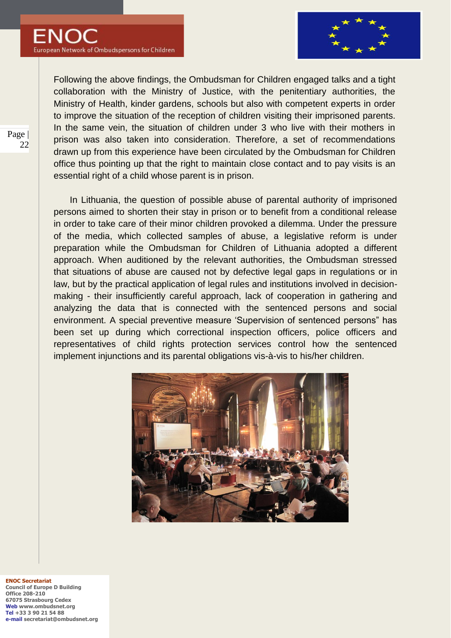

Following the above findings, the Ombudsman for Children engaged talks and a tight collaboration with the Ministry of Justice, with the penitentiary authorities, the Ministry of Health, kinder gardens, schools but also with competent experts in order to improve the situation of the reception of children visiting their imprisoned parents. In the same vein, the situation of children under 3 who live with their mothers in prison was also taken into consideration. Therefore, a set of recommendations drawn up from this experience have been circulated by the Ombudsman for Children office thus pointing up that the right to maintain close contact and to pay visits is an essential right of a child whose parent is in prison.

In Lithuania, the question of possible abuse of parental authority of imprisoned persons aimed to shorten their stay in prison or to benefit from a conditional release in order to take care of their minor children provoked a dilemma. Under the pressure of the media, which collected samples of abuse, a legislative reform is under preparation while the Ombudsman for Children of Lithuania adopted a different approach. When auditioned by the relevant authorities, the Ombudsman stressed that situations of abuse are caused not by defective legal gaps in regulations or in law, but by the practical application of legal rules and institutions involved in decisionmaking - their insufficiently careful approach, lack of cooperation in gathering and analyzing the data that is connected with the sentenced persons and social environment. A special preventive measure "Supervision of sentenced persons" has been set up during which correctional inspection officers, police officers and representatives of child rights protection services control how the sentenced implement injunctions and its parental obligations vis-à-vis to his/her children.



**ENOC Secretariat Council of Europe D Building Office 208-210 67075 Strasbourg Cedex Web www.ombudsnet.org Tel +33 3 90 21 54 88 e-mail secretariat@ombudsnet.org**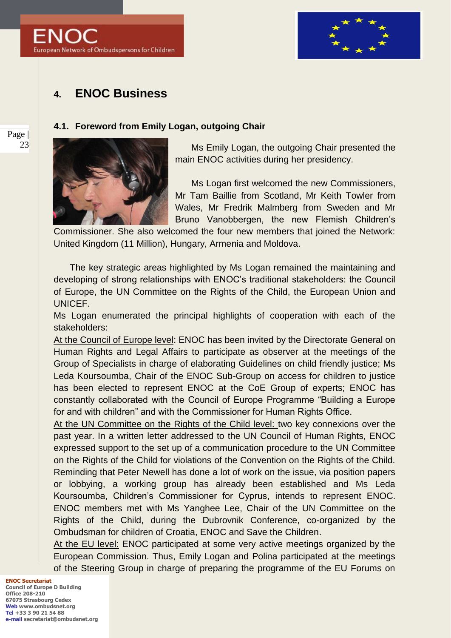



## **4. ENOC Business**

#### **4.1. Foreword from Emily Logan, outgoing Chair**



Ms Emily Logan, the outgoing Chair presented the main ENOC activities during her presidency.

Ms Logan first welcomed the new Commissioners, Mr Tam Baillie from Scotland, Mr Keith Towler from Wales, Mr Fredrik Malmberg from Sweden and Mr Bruno Vanobbergen, the new Flemish Children"s

Commissioner. She also welcomed the four new members that joined the Network: United Kingdom (11 Million), Hungary, Armenia and Moldova.

The key strategic areas highlighted by Ms Logan remained the maintaining and developing of strong relationships with ENOC"s traditional stakeholders: the Council of Europe, the UN Committee on the Rights of the Child, the European Union and UNICEF.

Ms Logan enumerated the principal highlights of cooperation with each of the stakeholders:

At the Council of Europe level: ENOC has been invited by the Directorate General on Human Rights and Legal Affairs to participate as observer at the meetings of the Group of Specialists in charge of elaborating Guidelines on child friendly justice; Ms Leda Koursoumba, Chair of the ENOC Sub-Group on access for children to justice has been elected to represent ENOC at the CoE Group of experts; ENOC has constantly collaborated with the Council of Europe Programme "Building a Europe for and with children" and with the Commissioner for Human Rights Office.

At the UN Committee on the Rights of the Child level: two key connexions over the past year. In a written letter addressed to the UN Council of Human Rights, ENOC expressed support to the set up of a communication procedure to the UN Committee on the Rights of the Child for violations of the Convention on the Rights of the Child. Reminding that Peter Newell has done a lot of work on the issue, via position papers or lobbying, a working group has already been established and Ms Leda Koursoumba, Children"s Commissioner for Cyprus, intends to represent ENOC. ENOC members met with Ms Yanghee Lee, Chair of the UN Committee on the Rights of the Child, during the Dubrovnik Conference, co-organized by the Ombudsman for children of Croatia, ENOC and Save the Children.

At the EU level: ENOC participated at some very active meetings organized by the European Commission. Thus, Emily Logan and Polina participated at the meetings of the Steering Group in charge of preparing the programme of the EU Forums on

**ENOC Secretariat Council of Europe D Building Office 208-210 67075 Strasbourg Cedex Web www.ombudsnet.org Tel +33 3 90 21 54 88 e-mail secretariat@ombudsnet.org**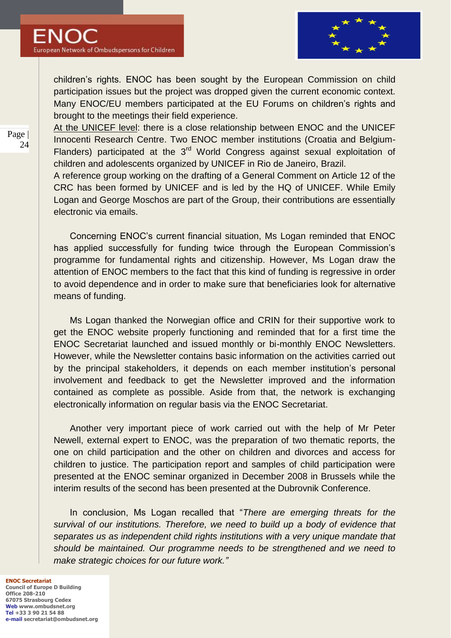

children"s rights. ENOC has been sought by the European Commission on child participation issues but the project was dropped given the current economic context. Many ENOC/EU members participated at the EU Forums on children"s rights and brought to the meetings their field experience.

At the UNICEF level: there is a close relationship between ENOC and the UNICEF Innocenti Research Centre. Two ENOC member institutions (Croatia and Belgium-Flanders) participated at the 3<sup>rd</sup> World Congress against sexual exploitation of children and adolescents organized by UNICEF in Rio de Janeiro, Brazil.

A reference group working on the drafting of a General Comment on Article 12 of the CRC has been formed by UNICEF and is led by the HQ of UNICEF. While Emily Logan and George Moschos are part of the Group, their contributions are essentially electronic via emails.

Concerning ENOC"s current financial situation, Ms Logan reminded that ENOC has applied successfully for funding twice through the European Commission's programme for fundamental rights and citizenship. However, Ms Logan draw the attention of ENOC members to the fact that this kind of funding is regressive in order to avoid dependence and in order to make sure that beneficiaries look for alternative means of funding.

Ms Logan thanked the Norwegian office and CRIN for their supportive work to get the ENOC website properly functioning and reminded that for a first time the ENOC Secretariat launched and issued monthly or bi-monthly ENOC Newsletters. However, while the Newsletter contains basic information on the activities carried out by the principal stakeholders, it depends on each member institution's personal involvement and feedback to get the Newsletter improved and the information contained as complete as possible. Aside from that, the network is exchanging electronically information on regular basis via the ENOC Secretariat.

Another very important piece of work carried out with the help of Mr Peter Newell, external expert to ENOC, was the preparation of two thematic reports, the one on child participation and the other on children and divorces and access for children to justice. The participation report and samples of child participation were presented at the ENOC seminar organized in December 2008 in Brussels while the interim results of the second has been presented at the Dubrovnik Conference.

In conclusion, Ms Logan recalled that "*There are emerging threats for the survival of our institutions. Therefore, we need to build up a body of evidence that separates us as independent child rights institutions with a very unique mandate that should be maintained. Our programme needs to be strengthened and we need to make strategic choices for our future work."*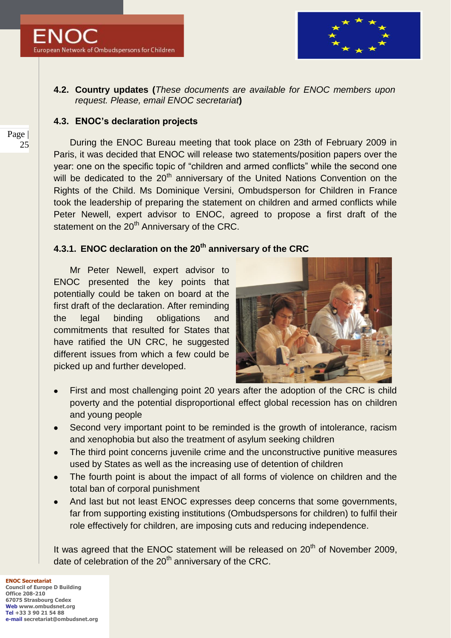

## **4.2. Country updates (***These documents are available for ENOC members upon request. Please, email ENOC secretariat***)**

## **4.3. ENOC's declaration projects**

During the ENOC Bureau meeting that took place on 23th of February 2009 in Paris, it was decided that ENOC will release two statements/position papers over the year: one on the specific topic of "children and armed conflicts" while the second one will be dedicated to the 20<sup>th</sup> anniversary of the United Nations Convention on the Rights of the Child. Ms Dominique Versini, Ombudsperson for Children in France took the leadership of preparing the statement on children and armed conflicts while Peter Newell, expert advisor to ENOC, agreed to propose a first draft of the statement on the  $20<sup>th</sup>$  Anniversary of the CRC.

## **4.3.1. ENOC declaration on the 20th anniversary of the CRC**

Mr Peter Newell, expert advisor to ENOC presented the key points that potentially could be taken on board at the first draft of the declaration. After reminding the legal binding obligations and commitments that resulted for States that have ratified the UN CRC, he suggested different issues from which a few could be picked up and further developed.



- First and most challenging point 20 years after the adoption of the CRC is child poverty and the potential disproportional effect global recession has on children and young people
- Second very important point to be reminded is the growth of intolerance, racism and xenophobia but also the treatment of asylum seeking children
- The third point concerns juvenile crime and the unconstructive punitive measures used by States as well as the increasing use of detention of children
- The fourth point is about the impact of all forms of violence on children and the total ban of corporal punishment
- And last but not least ENOC expresses deep concerns that some governments, far from supporting existing institutions (Ombudspersons for children) to fulfil their role effectively for children, are imposing cuts and reducing independence.

It was agreed that the ENOC statement will be released on  $20<sup>th</sup>$  of November 2009, date of celebration of the  $20<sup>th</sup>$  anniversary of the CRC.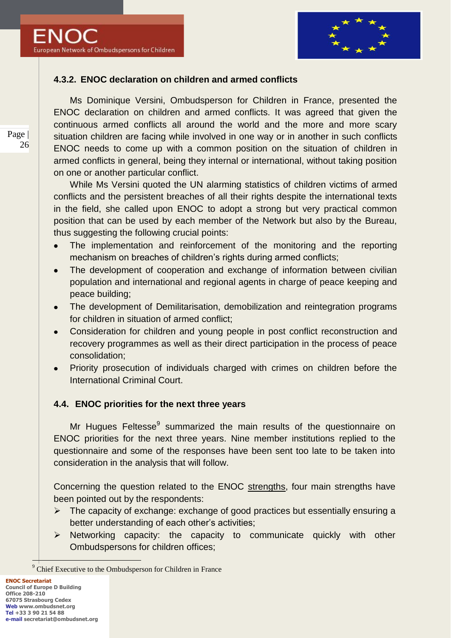

## **4.3.2. ENOC declaration on children and armed conflicts**

Ms Dominique Versini, Ombudsperson for Children in France, presented the ENOC declaration on children and armed conflicts. It was agreed that given the continuous armed conflicts all around the world and the more and more scary situation children are facing while involved in one way or in another in such conflicts ENOC needs to come up with a common position on the situation of children in armed conflicts in general, being they internal or international, without taking position on one or another particular conflict.

While Ms Versini quoted the UN alarming statistics of children victims of armed conflicts and the persistent breaches of all their rights despite the international texts in the field, she called upon ENOC to adopt a strong but very practical common position that can be used by each member of the Network but also by the Bureau, thus suggesting the following crucial points:

- The implementation and reinforcement of the monitoring and the reporting mechanism on breaches of children's rights during armed conflicts;
- The development of cooperation and exchange of information between civilian  $\bullet$ population and international and regional agents in charge of peace keeping and peace building;
- The development of Demilitarisation, demobilization and reintegration programs  $\bullet$ for children in situation of armed conflict;
- Consideration for children and young people in post conflict reconstruction and  $\bullet$ recovery programmes as well as their direct participation in the process of peace consolidation;
- Priority prosecution of individuals charged with crimes on children before the International Criminal Court.

### **4.4. ENOC priorities for the next three years**

Mr Hugues Feltesse<sup>9</sup> summarized the main results of the questionnaire on ENOC priorities for the next three years. Nine member institutions replied to the questionnaire and some of the responses have been sent too late to be taken into consideration in the analysis that will follow.

Concerning the question related to the ENOC strengths, four main strengths have been pointed out by the respondents:

- $\triangleright$  The capacity of exchange: exchange of good practices but essentially ensuring a better understanding of each other's activities;
- $\triangleright$  Networking capacity: the capacity to communicate quickly with other Ombudspersons for children offices;

 $\overline{a}$ 

<sup>&</sup>lt;sup>9</sup> Chief Executive to the Ombudsperson for Children in France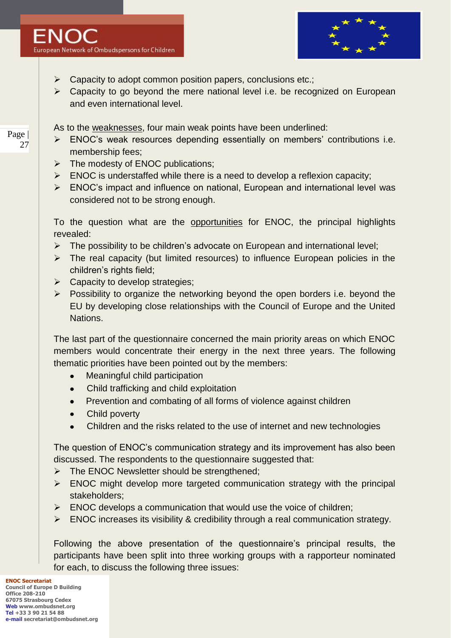

- $\triangleright$  Capacity to adopt common position papers, conclusions etc.;
- $\triangleright$  Capacity to go beyond the mere national level i.e. be recognized on European and even international level.

As to the weaknesses, four main weak points have been underlined:

- $\triangleright$  ENOC's weak resources depending essentially on members' contributions i.e. membership fees;
- $\triangleright$  The modesty of ENOC publications;
- $\triangleright$  ENOC is understaffed while there is a need to develop a reflexion capacity;
- ENOC"s impact and influence on national, European and international level was considered not to be strong enough.

To the question what are the opportunities for ENOC, the principal highlights revealed:

- $\triangleright$  The possibility to be children's advocate on European and international level;
- $\triangleright$  The real capacity (but limited resources) to influence European policies in the children"s rights field;
- $\triangleright$  Capacity to develop strategies;
- $\triangleright$  Possibility to organize the networking beyond the open borders i.e. beyond the EU by developing close relationships with the Council of Europe and the United Nations.

The last part of the questionnaire concerned the main priority areas on which ENOC members would concentrate their energy in the next three years. The following thematic priorities have been pointed out by the members:

- $\bullet$ Meaningful child participation
- Child trafficking and child exploitation  $\bullet$
- Prevention and combating of all forms of violence against children
- Child poverty  $\bullet$
- Children and the risks related to the use of internet and new technologies

The question of ENOC"s communication strategy and its improvement has also been discussed. The respondents to the questionnaire suggested that:

- $\triangleright$  The ENOC Newsletter should be strengthened;
- $\triangleright$  ENOC might develop more targeted communication strategy with the principal stakeholders;
- $\triangleright$  ENOC develops a communication that would use the voice of children;
- $\triangleright$  ENOC increases its visibility & credibility through a real communication strategy.

Following the above presentation of the questionnaire"s principal results, the participants have been split into three working groups with a rapporteur nominated for each, to discuss the following three issues: